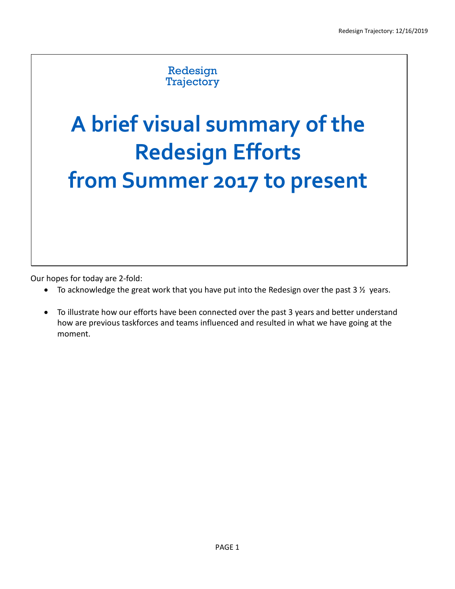## Redesign **Trajectory**

## **A brief visual summary of the Redesign Efforts from Summer 2017 to present**

Our hopes for today are 2-fold:

- To acknowledge the great work that you have put into the Redesign over the past  $3\frac{1}{2}$  years.
- To illustrate how our efforts have been connected over the past 3 years and better understand how are previous taskforces and teams influenced and resulted in what we have going at the moment.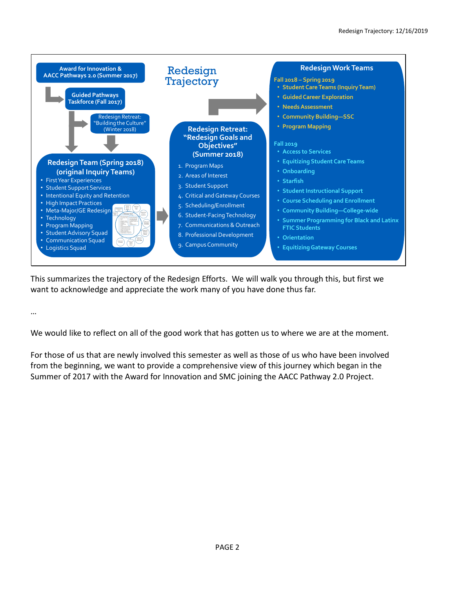

This summarizes the trajectory of the Redesign Efforts. We will walk you through this, but first we want to acknowledge and appreciate the work many of you have done thus far.

We would like to reflect on all of the good work that has gotten us to where we are at the moment.

…

For those of us that are newly involved this semester as well as those of us who have been involved from the beginning, we want to provide a comprehensive view of this journey which began in the Summer of 2017 with the Award for Innovation and SMC joining the AACC Pathway 2.0 Project.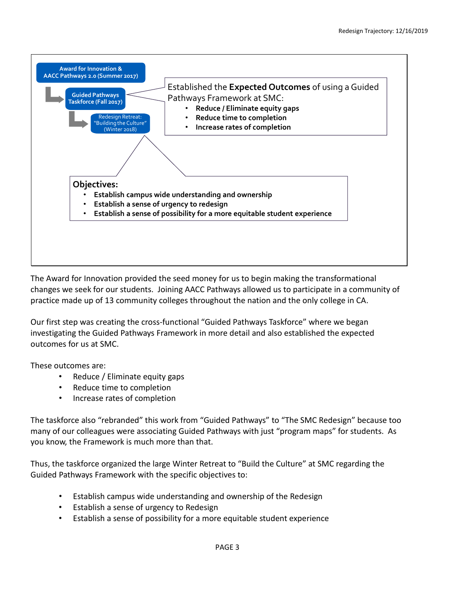

The Award for Innovation provided the seed money for us to begin making the transformational changes we seek for our students. Joining AACC Pathways allowed us to participate in a community of practice made up of 13 community colleges throughout the nation and the only college in CA.

Our first step was creating the cross-functional "Guided Pathways Taskforce" where we began investigating the Guided Pathways Framework in more detail and also established the expected outcomes for us at SMC.

These outcomes are:

- Reduce / Eliminate equity gaps
- Reduce time to completion
- Increase rates of completion

The taskforce also "rebranded" this work from "Guided Pathways" to "The SMC Redesign" because too many of our colleagues were associating Guided Pathways with just "program maps" for students. As you know, the Framework is much more than that.

Thus, the taskforce organized the large Winter Retreat to "Build the Culture" at SMC regarding the Guided Pathways Framework with the specific objectives to:

- Establish campus wide understanding and ownership of the Redesign
- Establish a sense of urgency to Redesign
- Establish a sense of possibility for a more equitable student experience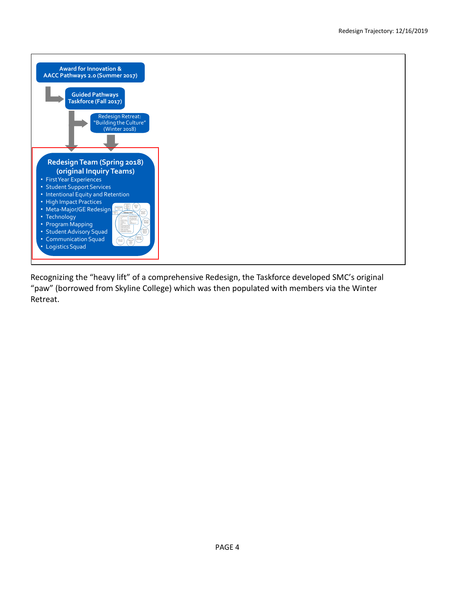

Recognizing the "heavy lift" of a comprehensive Redesign, the Taskforce developed SMC's original "paw" (borrowed from Skyline College) which was then populated with members via the Winter Retreat.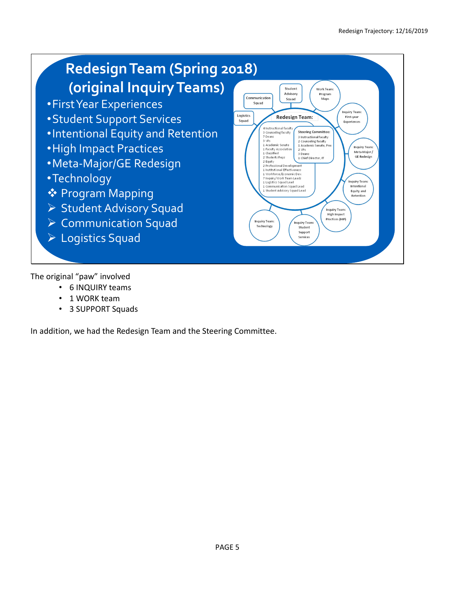

The original "paw" involved

- 6 INQUIRY teams
- 1 WORK team
- 3 SUPPORT Squads

In addition, we had the Redesign Team and the Steering Committee.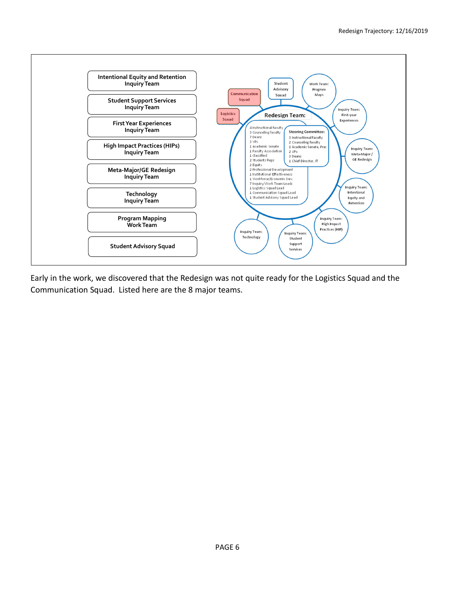

Early in the work, we discovered that the Redesign was not quite ready for the Logistics Squad and the Communication Squad. Listed here are the 8 major teams.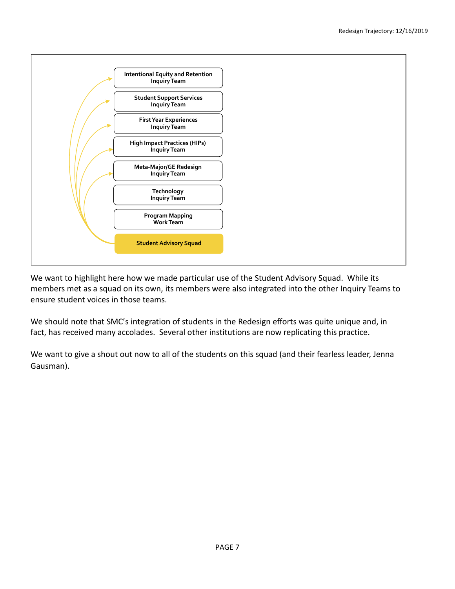

We want to highlight here how we made particular use of the Student Advisory Squad. While its members met as a squad on its own, its members were also integrated into the other Inquiry Teams to ensure student voices in those teams.

We should note that SMC's integration of students in the Redesign efforts was quite unique and, in fact, has received many accolades. Several other institutions are now replicating this practice.

We want to give a shout out now to all of the students on this squad (and their fearless leader, Jenna Gausman).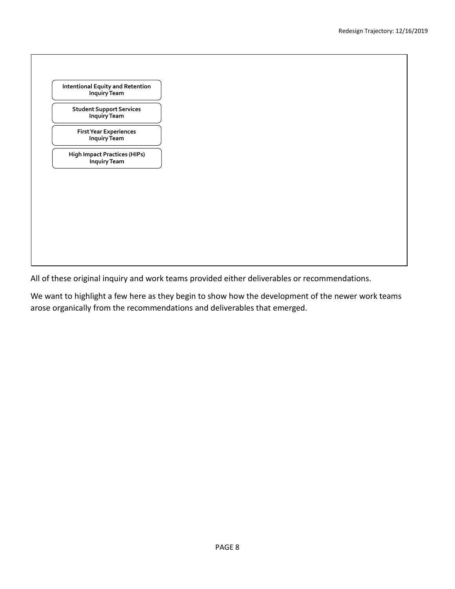

All of these original inquiry and work teams provided either deliverables or recommendations.

We want to highlight a few here as they begin to show how the development of the newer work teams arose organically from the recommendations and deliverables that emerged.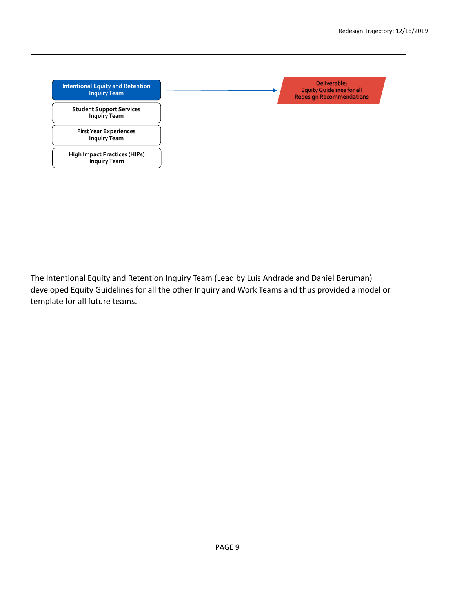

The Intentional Equity and Retention Inquiry Team (Lead by Luis Andrade and Daniel Beruman) developed Equity Guidelines for all the other Inquiry and Work Teams and thus provided a model or template for all future teams.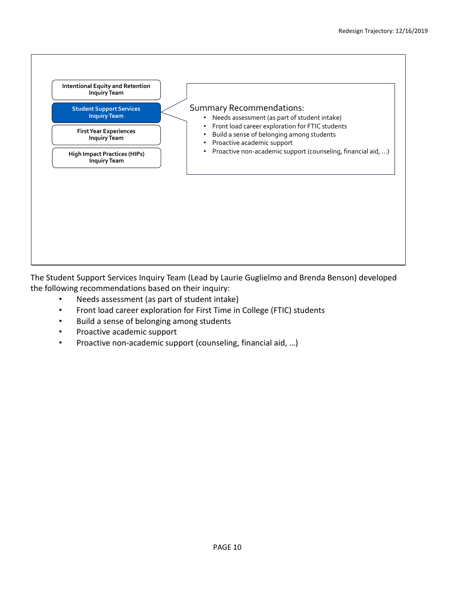

The Student Support Services Inquiry Team (Lead by Laurie Guglielmo and Brenda Benson) developed the following recommendations based on their inquiry:

- Needs assessment (as part of student intake)
- Front load career exploration for First Time in College (FTIC) students
- Build a sense of belonging among students
- Proactive academic support
- Proactive non-academic support (counseling, financial aid, …)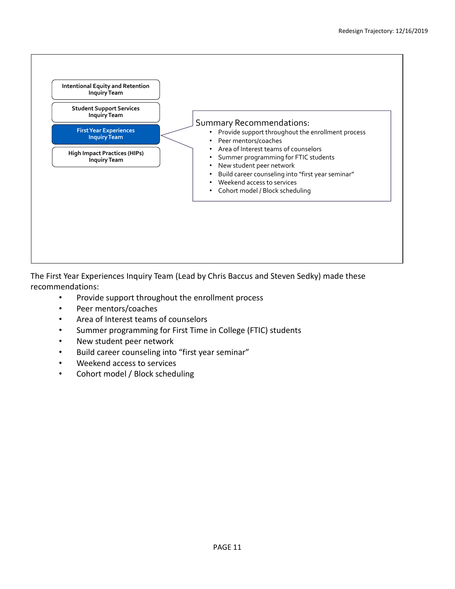

The First Year Experiences Inquiry Team (Lead by Chris Baccus and Steven Sedky) made these recommendations:

- Provide support throughout the enrollment process
- Peer mentors/coaches
- Area of Interest teams of counselors
- Summer programming for First Time in College (FTIC) students
- New student peer network
- Build career counseling into "first year seminar"
- Weekend access to services
- Cohort model / Block scheduling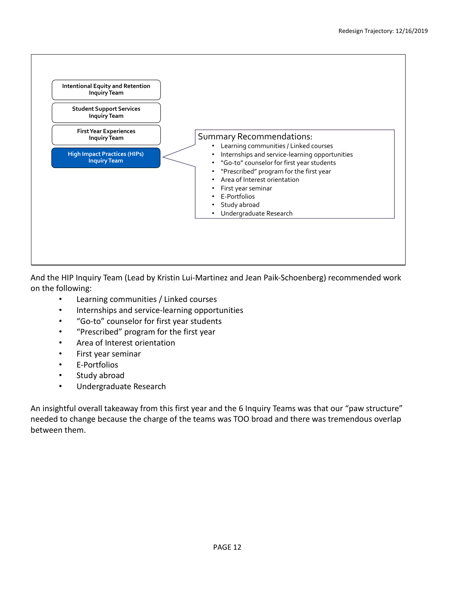

And the HIP Inquiry Team (Lead by Kristin Lui-Martinez and Jean Paik-Schoenberg) recommended work on the following:

- Learning communities / Linked courses
- Internships and service-learning opportunities
- "Go-to" counselor for first year students
- "Prescribed" program for the first year
- Area of Interest orientation
- First year seminar
- E-Portfolios
- Study abroad
- Undergraduate Research

An insightful overall takeaway from this first year and the 6 Inquiry Teams was that our "paw structure" needed to change because the charge of the teams was TOO broad and there was tremendous overlap between them.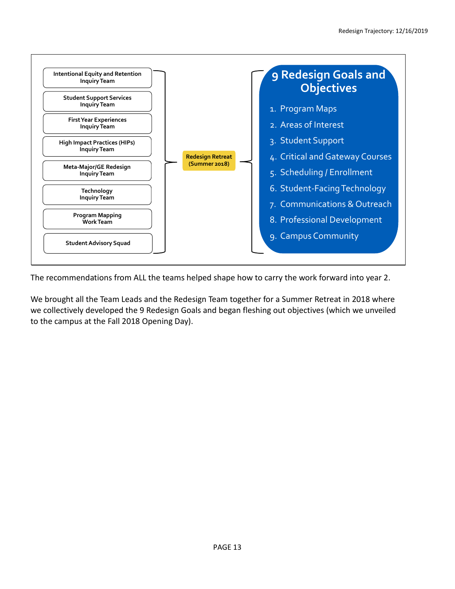

The recommendations from ALL the teams helped shape how to carry the work forward into year 2.

We brought all the Team Leads and the Redesign Team together for a Summer Retreat in 2018 where we collectively developed the 9 Redesign Goals and began fleshing out objectives (which we unveiled to the campus at the Fall 2018 Opening Day).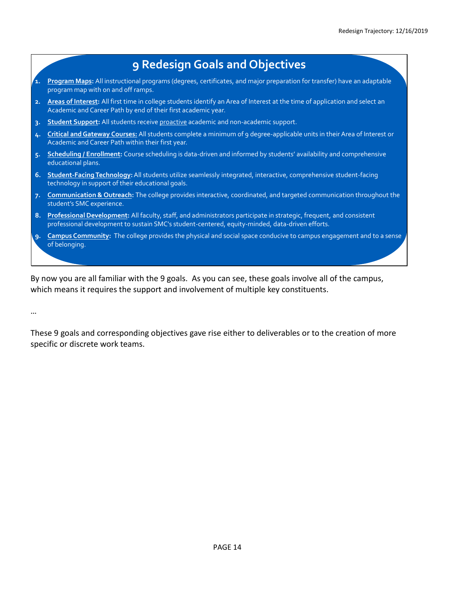

By now you are all familiar with the 9 goals. As you can see, these goals involve all of the campus, which means it requires the support and involvement of multiple key constituents.

…

These 9 goals and corresponding objectives gave rise either to deliverables or to the creation of more specific or discrete work teams.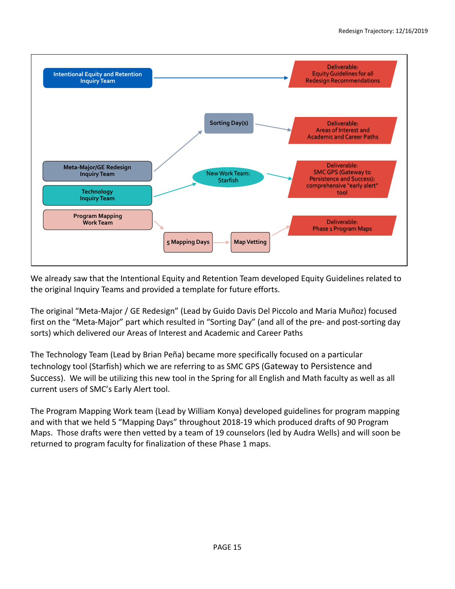

We already saw that the Intentional Equity and Retention Team developed Equity Guidelines related to the original Inquiry Teams and provided a template for future efforts.

The original "Meta-Major / GE Redesign" (Lead by Guido Davis Del Piccolo and Maria Muñoz) focused first on the "Meta-Major" part which resulted in "Sorting Day" (and all of the pre- and post-sorting day sorts) which delivered our Areas of Interest and Academic and Career Paths

The Technology Team (Lead by Brian Peña) became more specifically focused on a particular technology tool (Starfish) which we are referring to as SMC GPS (Gateway to Persistence and Success). We will be utilizing this new tool in the Spring for all English and Math faculty as well as all current users of SMC's Early Alert tool.

The Program Mapping Work team (Lead by William Konya) developed guidelines for program mapping and with that we held 5 "Mapping Days" throughout 2018-19 which produced drafts of 90 Program Maps. Those drafts were then vetted by a team of 19 counselors (led by Audra Wells) and will soon be returned to program faculty for finalization of these Phase 1 maps.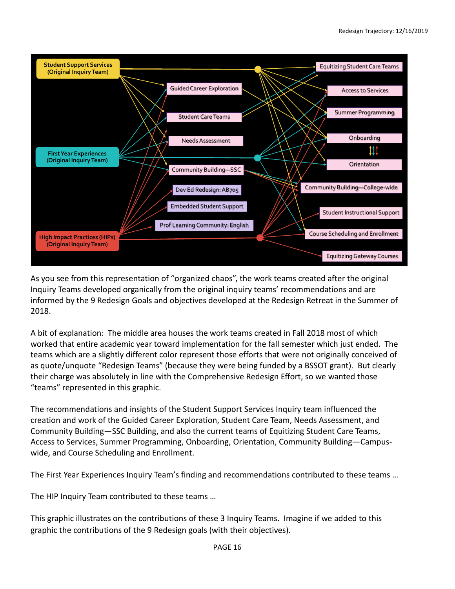

As you see from this representation of "organized chaos", the work teams created after the original Inquiry Teams developed organically from the original inquiry teams' recommendations and are informed by the 9 Redesign Goals and objectives developed at the Redesign Retreat in the Summer of 2018.

A bit of explanation: The middle area houses the work teams created in Fall 2018 most of which worked that entire academic year toward implementation for the fall semester which just ended. The teams which are a slightly different color represent those efforts that were not originally conceived of as quote/unquote "Redesign Teams" (because they were being funded by a BSSOT grant). But clearly their charge was absolutely in line with the Comprehensive Redesign Effort, so we wanted those "teams" represented in this graphic.

The recommendations and insights of the Student Support Services Inquiry team influenced the creation and work of the Guided Career Exploration, Student Care Team, Needs Assessment, and Community Building—SSC Building, and also the current teams of Equitizing Student Care Teams, Access to Services, Summer Programming, Onboarding, Orientation, Community Building—Campuswide, and Course Scheduling and Enrollment.

The First Year Experiences Inquiry Team's finding and recommendations contributed to these teams …

The HIP Inquiry Team contributed to these teams …

This graphic illustrates on the contributions of these 3 Inquiry Teams. Imagine if we added to this graphic the contributions of the 9 Redesign goals (with their objectives).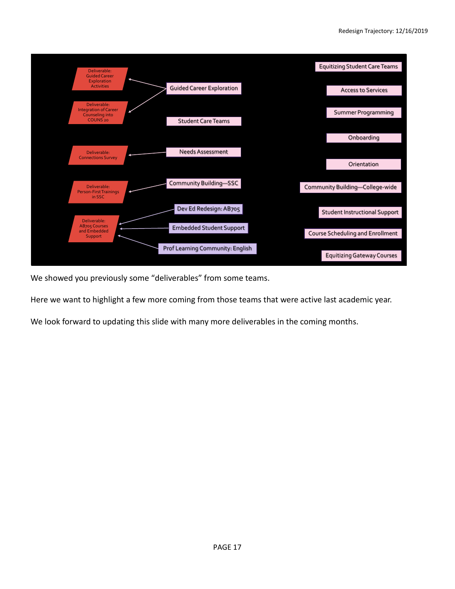![](_page_16_Figure_1.jpeg)

We showed you previously some "deliverables" from some teams.

Here we want to highlight a few more coming from those teams that were active last academic year.

We look forward to updating this slide with many more deliverables in the coming months.